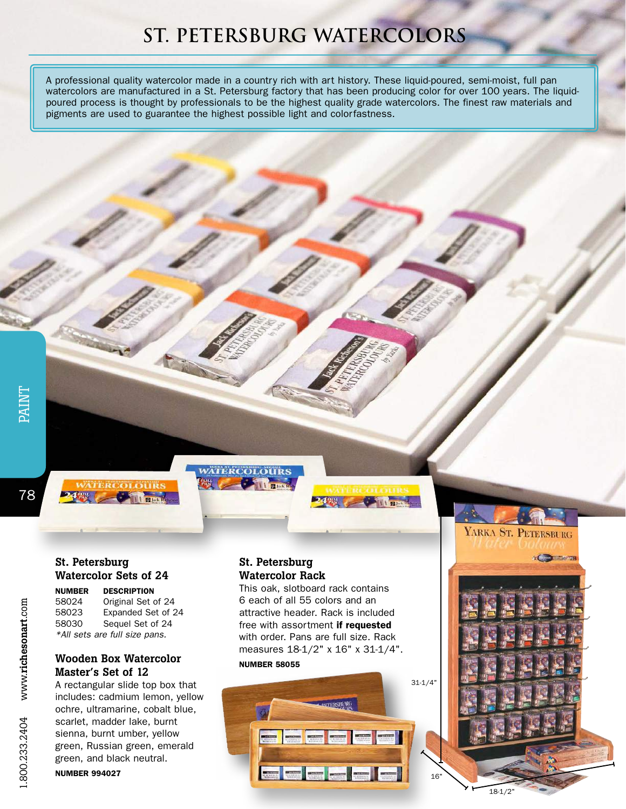## **St. Petersburg Watercolors**

A professional quality watercolor made in a country rich with art history. These liquid-poured, semi-moist, full pan watercolors are manufactured in a St. Petersburg factory that has been producing color for over 100 years. The liquidpoured process is thought by professionals to be the highest quality grade watercolors. The finest raw materials and pigments are used to guarantee the highest possible light and colorfastness.

78



#### St. Petersburg Watercolor Sets of 24

NUMBER DESCRIPTION 58024 Original Set of 24 58023 Expanded Set of 24 58030 Sequel Set of 24 *\*All sets are full size pans.*

### Wooden Box Watercolor Master's Set of 12

A rectangular slide top box that includes: cadmium lemon, yellow ochre, ultramarine, cobalt blue, scarlet, madder lake, burnt sienna, burnt umber, yellow green, Russian green, emerald green, and black neutral.

NUMBER 994027

# **Comment Comments**

**WATERCOLOURS** 

#### St. Petersburg Watercolor Rack

This oak, slotboard rack contains 6 each of all 55 colors and an attractive header. Rack is included free with assortment if requested with order. Pans are full size. Rack measures 18-1/2" x 16" x 31-1/4". NUMBER 58055

**ALL DE** 





16"